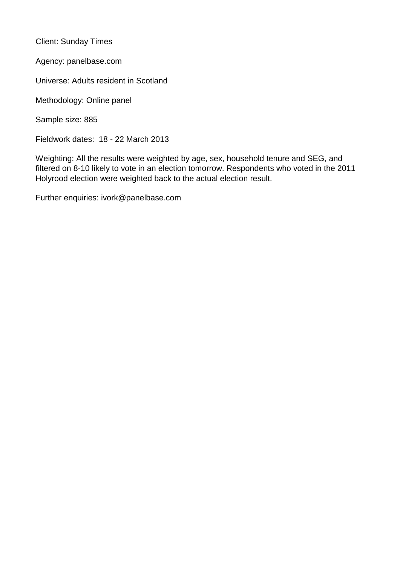Client: Sunday Times

Agency: panelbase.com

Universe: Adults resident in Scotland

Methodology: Online panel

Sample size: 885

Fieldwork dates: 18 - 22 March 2013

Weighting: All the results were weighted by age, sex, household tenure and SEG, and filtered on 8-10 likely to vote in an election tomorrow. Respondents who voted in the 2011 Holyrood election were weighted back to the actual election result.

Further enquiries: ivork@panelbase.com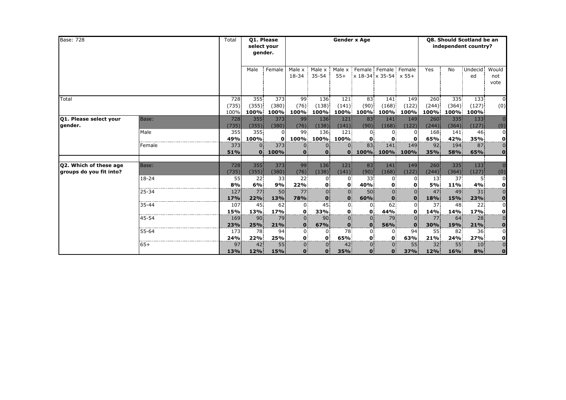| <b>Base: 728</b>                                  |           | Total                | <b>Q1. Please</b><br>select your<br>gender. |                      |                                  |                              |                                | <b>Gender x Age</b>            | Q8. Should Scotland be an<br>independent country? |                      |                               |                           |                        |                                           |
|---------------------------------------------------|-----------|----------------------|---------------------------------------------|----------------------|----------------------------------|------------------------------|--------------------------------|--------------------------------|---------------------------------------------------|----------------------|-------------------------------|---------------------------|------------------------|-------------------------------------------|
|                                                   |           |                      | Male                                        | Female               | Male x<br>18-34                  | Male x<br>$35 - 54$          | Male x<br>$55+$                | x 18-34 x 35-54 x 55+          | Female Female Female                              |                      | Yes                           | No                        | Undecid<br>ed          | Would<br>not<br>vote                      |
| Total                                             |           | 728<br>(735)<br>100% | 355<br>(355)<br>100%                        | 373<br>(380)<br>100% | 99<br>(76)<br>100%               | 136<br>(138)<br>100%         | 121<br>(141)<br>100%           | 83<br>(90)<br>100%             | 141<br>(168)<br>100%                              | 149<br>(122)<br>100% | 260<br>(244)<br>100%          | 335<br>(364)<br>100%      | 133<br>(127)<br>100%   | $\overline{0}$<br>(0)                     |
| <b>Q1. Please select your</b><br>gender.          | Base:     | 728<br>(735)         | 355<br>(355)                                | 373<br>(380)         | 99<br>(76)                       | 136<br>(138)                 | 121<br>(141)                   | 83<br>(90)                     | 141<br>(168)                                      | 149<br>(122)         | 260:<br>(244)                 | 335 <sup>1</sup><br>(364) | 133<br>(127)           | $\Omega$<br>(0)                           |
|                                                   | Male      | 355<br>49%           | 355<br>100%                                 | 0<br>0               | 99<br>100%                       | 136<br>100%                  | 121<br>100%                    | $\Omega$<br>$\mathbf{0}$       | $\Omega$<br>O                                     | 0<br>0               | 168<br>65%                    | 141<br>42%                | 46<br>35%              | $\overline{0}$<br>의                       |
|                                                   | Female    | 373<br>51%           | 0<br>$\mathbf{o}$                           | 373<br>100%          | 0.<br>$\Omega$                   | $\Omega$                     | $\mathbf{0}$                   | 83<br>100%                     | 141<br>100%                                       | 149<br>100%          | 92<br>35%                     | 194<br>58%                | 87<br>65%              | $\overline{0}$<br>$\mathbf{0}$            |
| Q2. Which of these age<br>groups do you fit into? | Base:     | 728<br>(735)         | 355<br>(355)                                | 373<br>(380)         | 99<br>(76)                       | 136<br>(138)                 | 121<br>(141)                   | 83<br>(90)                     | 141<br>(168)                                      | 149<br>(122)         | 260<br>(244)                  | 335 <sup>3</sup><br>(364) | 133<br>(127)           | $\Omega$<br>(0)                           |
|                                                   | $18 - 24$ | 55<br>8%             | 22<br>6%                                    | 33<br>9%             | 22 <sup>1</sup><br>22%           | 0<br>$\mathbf{0}$            | $\overline{0}$<br>$\mathbf{0}$ | 33<br>40%                      | $\Omega$<br>$\bf{0}$                              | 0<br>0               | 13 <sup>1</sup><br>5%         | 37<br>11%                 | 5.<br>4%               | $\overline{0}$<br><u>o</u>                |
|                                                   | $25 - 34$ | 127<br>17%           | 77.<br>22%                                  | 50<br>13%            | 77<br>78%                        | $\Omega$<br>$\mathbf{0}$     | $\mathbf{0}$<br>$\mathbf{0}$   | 50<br>60%                      | $\Omega$<br>$\bf{0}$                              | $\Omega$<br>$\bf{0}$ | 47<br>18%                     | 49<br>15%                 | 31<br><b>23%</b>       | $\overline{0}$<br>$\overline{\mathbf{0}}$ |
|                                                   | 35-44     | 107<br>15%           | 45<br>13%                                   | 62<br>17%            | $\mathbf{0}$<br>$\mathbf{0}$     | 45<br>33%                    | 0<br>$\mathbf{0}$              | $\mathbf{0}$<br>$\bullet$      | 62<br>44%                                         | 0<br>0               | 37<br>14%                     | 48<br>14%                 | 22 <sup>1</sup><br>17% | $\overline{0}$<br><u>이</u>                |
|                                                   | $45 - 54$ | 169<br>23%           | 90 <sup>1</sup><br>25%                      | 79<br>21%            | $\mathbf{0}$<br>$\mathbf{0}$     | 90 <sup>1</sup><br>67%       | $\Omega$<br>$\mathbf{0}$       | $\mathbf{0}$<br>$\mathbf{0}$   | 79<br>56%                                         | $\Omega$<br>$\Omega$ | 77<br>30%                     | 64<br>19%                 | 28<br>21%              | $\overline{0}$<br>$\mathbf{0}$            |
|                                                   | 55-64     | 173<br>24%           | 78<br>22%                                   | 94<br>25%            | $\mathbf{0}$<br>O.               | $\mathbf{0}$<br>$\mathbf{0}$ | 78<br>65%                      | $\mathbf{0}$<br>$\mathbf{0}$   | $\overline{0}$<br>$\mathbf{0}$                    | 94<br>63%            | 55<br>21%                     | 82<br>24%                 | 36 <sup>2</sup><br>27% | $\overline{0}$<br>의                       |
|                                                   | $65+$     | 97<br>13%            | 42<br>12%                                   | 55<br>15%            | $\overline{0}$ .<br>$\mathbf{O}$ | $\Omega$<br>$\mathbf{0}$     | 42<br>35%                      | $\overline{0}$<br>$\mathbf{0}$ | 0.<br>0.                                          | 55<br>37%            | 32 <sup>2</sup><br><b>12%</b> | 55<br>16%                 | 10 <sup>1</sup><br>8%  | $\overline{0}$<br>$\mathbf{0}$            |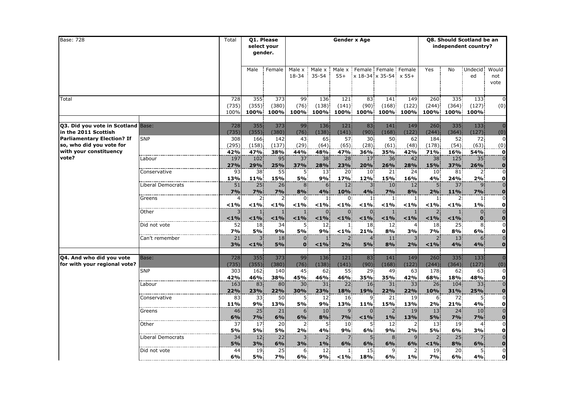| <b>Base: 728</b>                                                                        |                                   | Total                |                             | Q1. Please<br>select your<br>gender. |                                |                                |                           | <b>Gender x Age</b>                      |                                                     |                      |                                         |                       | Q8. Should Scotland be an<br>independent country? |                                                  |
|-----------------------------------------------------------------------------------------|-----------------------------------|----------------------|-----------------------------|--------------------------------------|--------------------------------|--------------------------------|---------------------------|------------------------------------------|-----------------------------------------------------|----------------------|-----------------------------------------|-----------------------|---------------------------------------------------|--------------------------------------------------|
|                                                                                         |                                   |                      | Male                        | Female                               | Male x<br>18-34                | Male x<br>$35 - 54$            | Male x<br>$55+$           |                                          | Female Female Female<br>$x$ 18-34 $x$ 35-54 $x$ 55+ |                      | Yes                                     | No                    | <b>Undecid</b><br>ed                              | Would<br>not<br>vote                             |
| Total                                                                                   |                                   | 728<br>(735)<br>100% | 355<br>(355)<br>100%        | 373<br>(380)<br>100%                 | 99<br>(76)<br>100%             | 136<br>(138)<br>100%           | 121<br>(141)<br>100%      | 83<br>(90)<br>100%                       | 141<br>(168)<br>100%                                | 149<br>(122)<br>100% | 260<br>(244)<br>100%                    | 335<br>(364)<br>100%  | 133<br>(127)<br>100%                              | $\Omega$<br>(0)                                  |
| <b>Q3. Did you vote in Scotland Base:</b><br>in the 2011 Scottish                       |                                   | 728<br>(735)         | 355<br>(355)                | 373<br>(380)                         | 99<br>(76)                     | 136<br>(138)                   | 121<br>(141)              | 83<br>(90)                               | 141<br>(168)                                        | 149<br>(122)         | 260<br>(244)                            | 335<br>(364)          | 133<br>(127)                                      | $\overline{0}$<br>(0)                            |
| <b>Parliamentary Election? If</b><br>so, who did you vote for<br>with your constituency | <b>SNP</b>                        | 308<br>(295)<br>42%  | 166<br>(158)<br>47%         | 142<br>(137)<br>38%                  | 43<br>(29)<br>44%              | 65<br>(64)<br>48%              | 57<br>(65)<br>47%         | 30 <sup>2</sup><br>(28)<br>36%           | 50<br>(61)<br>35%                                   | 62<br>(48)<br>42%    | 184<br>(178)<br>71%                     | 52<br>(54)<br>16%     | 72<br>(63)<br>54%                                 | $\mathbf 0$<br>(0)<br>$\mathbf{o}$               |
| vote?                                                                                   | Labour                            | 197<br>27%           | 102<br>29%                  | 95<br>25%                            | 37<br>37%                      | 38<br>28%                      | 28<br>23%                 | 17<br>20%                                | 36<br>26%                                           | 42<br>28%            | 38<br>15%                               | 125<br>37%            | 35<br>26%                                         | $\overline{0}$<br>$\bf{0}$                       |
|                                                                                         | Conservative<br>Liberal Democrats | 93<br>13%<br>51      | 38<br>11%<br>25             | 55<br>15%<br>26                      | 5.<br><b>5%</b><br>8           | 13<br>9%<br>6 <sup>1</sup>     | 20<br>17%<br>12           | 10 <sup>1</sup><br>12%<br>$\overline{3}$ | 21<br>15%<br>10                                     | 24<br>16%<br>12      | 10 <sup>1</sup><br>4%<br>5 <sup>1</sup> | 81<br>24%<br>37       | $\mathbf{2}$<br>2%<br>9 <sup>°</sup>              | $\mathbf 0$<br>οl<br>$\overline{0}$              |
|                                                                                         | Greens                            | 7%                   | 7%<br>2 <sup>1</sup>        | 7%                                   | 8%<br>$\Omega$                 | 4%<br>$\mathbf{1}$             | 10%<br>$\Omega$           | 4%<br>1 <sup>1</sup>                     | <b>7%</b><br>1 <sup>1</sup>                         | 8%<br>$\mathbf{1}$   | 2%<br>$\mathbf{1}$                      | 11%<br>2 <sup>1</sup> | <b>7%</b><br>$\mathbf{1}$                         | $\bullet$<br>$\overline{0}$                      |
|                                                                                         | Other                             | < 1%<br>$< 1\%$      | $< 1\%$<br>$< 1\%$          | $<$ 1%<br>< 1%                       | < 1%<br>$< 1\%$                | $< 1\%$<br>$\Omega$<br>$< 1\%$ | $< 1\%$<br>0<br>< 1%      | $< 1\%$<br>$\Omega$<br>$< 1\%$           | < 1%<br>$< 1\%$                                     | $< 1\%$<br>< 1%      | $< 1\%$<br>$< 1\%$                      | < 1%<br>$< 1\%$       | $1\%$<br>$\mathbf{0}$<br>$\mathbf{O}$             | $\mathbf{o}$<br>$\overline{0}$                   |
|                                                                                         | Did not vote                      | 52<br>7%             | 18<br><b>5%</b>             | 34<br>9%                             | 5.<br>5%                       | 12<br>9%                       | $\mathbf{1}$<br>$1\%$     | 18<br>21%                                | 12<br>8%                                            | 3%                   | 18<br>7%                                | 25<br>8%              | 8<br>6%                                           | $\frac{0}{0}$<br>$\mathbf{o}$                    |
|                                                                                         | Can't remember                    | 21<br>3%             | $1\%$                       | 18<br>5%                             | $\overline{0}$<br>$\mathbf{0}$ | $< 1\%$                        | <sub>2</sub><br>2%        | $\overline{4}$<br>5%                     | 11<br>8%                                            | 2%                   | $\overline{2}$<br>< 1%                  | 13<br>4%              | 6<br>4%                                           | $\overline{0}$<br>$\mathbf 0$                    |
| Q4. And who did you vote<br>for with your regional vote?                                | Base:                             | 728<br>(735)         | 355<br>(355)                | 373<br>(380)                         | 99<br>(76)                     | 136<br>(138)                   | 121<br>(141)              | 83<br>(90)                               | 141<br>(168)                                        | 149<br>(122)         | 260<br>(244)                            | 335<br>(364)          | 133<br>(127)                                      | $\Omega$<br>(0)                                  |
|                                                                                         | <b>SNP</b><br>Labour              | 303<br>42%<br>163    | 162<br>46%<br>83            | 140<br>38%<br>80                     | 45<br>45%<br>30                | 62<br>46%<br>31                | 55<br>46%<br>22           | 29<br>35%<br>16                          | 49<br>35%<br>31                                     | 63<br>42%<br>33      | 178<br>68%<br>26                        | 62<br>18%<br>104      | 63<br>48%<br>33                                   | $\overline{0}$<br>$\mathbf{0}$<br>$\overline{0}$ |
|                                                                                         | Conservative                      | 22%<br>83<br>11%     | 23%<br>33<br>9%             | 22%<br>50<br>13%                     | 30%<br>5.<br>5%                | 23%<br>12<br>9%                | 18%<br>16<br>13%          | 19%<br>9.<br>11%                         | 22%<br>21<br>15%                                    | 22%<br>19<br>13%     | 10%<br>6<br>2%                          | 31%<br>72<br>21%      | 25%<br>5.<br>4%                                   | $\frac{0}{0}$<br>$\mathbf{0}$                    |
|                                                                                         | Greens                            | 46<br>6%             | 25<br>7%                    | 21<br>6%                             | 6.<br>6%                       | 10<br>8%                       | 9<br>7%                   | $\Omega$<br>$1\%$                        | $1\%$                                               | 19<br>13%            | 13<br>5%                                | 24<br>$7\%$           | 10<br>7%                                          | $\overline{0}$<br>$\bullet$                      |
|                                                                                         | Other                             | 37<br>5%             | 17<br><b>5%</b>             | 20<br>5%                             | $2^{\circ}$<br>2%              | 5.<br>4%                       | 10 <sup>°</sup><br>9%     | 5.<br>6%                                 | 12 <sup>1</sup><br>9%                               | $\overline{2}$<br>2% | 13 <sup>°</sup><br>5%                   | 19<br>6%              | 4<br>3%                                           | $\overline{0}$<br>$\mathbf{0}$<br>$\overline{0}$ |
|                                                                                         | Liberal Democrats<br>Did not vote | 34<br>5%<br>44       | 12 <sub>1</sub><br>3%<br>19 | 22<br>6%<br>25                       | 3.<br>3%<br>6.                 | 2 <sup>1</sup><br>$1\%$<br>12  | $\overline{7}$<br>6%<br>1 | 5<br>6%<br>15                            | 8<br>6%<br>9                                        | 6%<br>2              | 2<br>$< 1\%$<br>19                      | 25<br>8%<br>20        | 7<br>6%<br>5.                                     | $\overline{\mathbf{o}}$<br>$\overline{0}$        |
|                                                                                         |                                   | 6%                   | <b>5%</b>                   | <b>7%</b>                            | 6%                             | 9%                             | $< 1\%$                   | 18%                                      | 6%                                                  | 1%                   | 7%                                      | 6%                    | 4%                                                | $\mathbf{0}$                                     |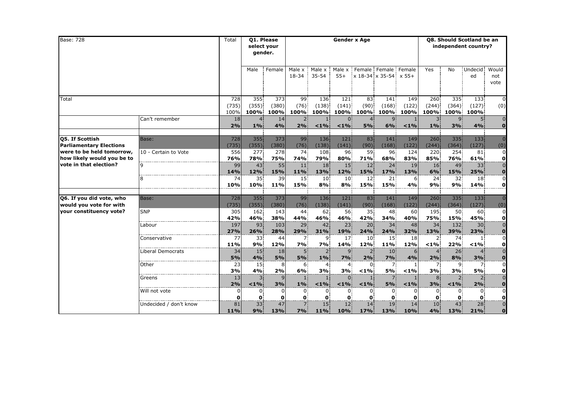| <b>Base: 728</b>                                                                                                                              |                                   | Total                | <b>Q1. Please</b><br>select your<br>gender. |                      |                             |                               |                                 | <b>Gender x Age</b>                           |                              | Q8. Should Scotland be an<br>independent country? |                         |                                  |                                        |                                                  |
|-----------------------------------------------------------------------------------------------------------------------------------------------|-----------------------------------|----------------------|---------------------------------------------|----------------------|-----------------------------|-------------------------------|---------------------------------|-----------------------------------------------|------------------------------|---------------------------------------------------|-------------------------|----------------------------------|----------------------------------------|--------------------------------------------------|
|                                                                                                                                               |                                   |                      | Male                                        | Female               | Male x<br>18-34             | Male x<br>$35 - 54$           | Male x<br>$55+$                 | Female Female Female<br>x 18-34 x 35-54 x 55+ |                              |                                                   | Yes                     | No                               | Undecid<br>ed                          | Would<br>not<br>vote                             |
| Total                                                                                                                                         |                                   | 728<br>(735)<br>100% | 355<br>(355)<br>100%                        | 373<br>(380)<br>100% | 99<br>(76)<br>100%          | 136<br>(138)<br>100%          | 121<br>(141)<br>100%            | 83<br>(90)<br>100%                            | 141<br>(168)<br>100%         | 149<br>(122)<br>100%l                             | 260<br>(244)<br>100%    | 335<br>(364)<br>100%             | 133<br>(127)<br>100%                   | $\Omega$<br>(0)                                  |
|                                                                                                                                               | Can't remember                    | 18<br>2%             | $1\%$                                       | 14<br>4%             | 2 <sup>1</sup><br>2%        | $< 1\%$                       | $\Omega$<br>$< 1\%$             | $\overline{4}$<br>5%                          | 9<br>6%                      | $< 1\%$                                           | 3 <sup>1</sup><br>$1\%$ | 9 <sup>1</sup><br>3%             | 5 <sup>1</sup><br>4%                   | $\overline{0}$<br>$\mathbf{0}$                   |
| <b>Q5. If Scottish</b><br><b>Parliamentary Elections</b><br>were to be held tomorrow,<br>how likely would you be to<br>vote in that election? | Base:<br>10 - Certain to Vote     | 728<br>(735)<br>556  | 355<br>(355)<br>277                         | 373<br>(380)<br>278  | 99<br>$(76)$ :<br>74        | 136<br>(138)<br>108           | 121<br>(141)<br>96              | 83.<br>(90)<br>59                             | 141<br>(168)<br>96           | 149<br>(122)<br>124                               | 260<br>(244)<br>220     | 335 <sup>1</sup><br>(364)<br>254 | 133<br>(127)<br>81                     | $\Omega$<br>(0)<br>$\overline{0}$                |
|                                                                                                                                               |                                   | 76%<br>99<br>14%     | 78%<br>43<br>12%                            | 75%<br>55<br>15%     | 74%<br>11<br>11%            | 79%<br>18<br>13%              | 80%<br>15<br>12%                | 71%<br>12 <sub>1</sub><br>15%                 | 68%<br>24<br>17%             | 83%<br>19<br>13%                                  | 85%<br>16<br>6%         | 76%<br>49<br>15%                 | 61%<br>33<br>25%                       | $\frac{0}{0}$<br>$\overline{\mathbf{0}}$         |
|                                                                                                                                               | 8                                 | 74<br>10%            | 35<br>10%                                   | 39<br>11%            | 15<br>15%                   | 10<br>8%                      | 10<br>8%                        | 12 <sub>1</sub><br>15%                        | 21<br>15%                    | 6<br>4%                                           | 24 <sup>1</sup><br>9%   | 32<br>9%                         | 18<br>14%                              | $\overline{0}$<br>$\mathbf{o}$                   |
| Q6. If you did vote, who<br>would you vote for with                                                                                           | Base:                             | 728<br>(735)         | 355 <sup>1</sup><br>(355)                   | 373<br>(380)         | 99<br>(76)                  | 136<br>(138)                  | 121<br>(141)                    | 83<br>(90)                                    | 141<br>(168)                 | 149<br>(122)                                      | 260<br>(244)            | 335 <sup>1</sup><br>(364)        | 133<br>(127)                           | $\overline{0}$<br>(0)                            |
| your constituency vote?                                                                                                                       | <b>SNP</b>                        | 305<br>42%           | 162<br>46%                                  | 143<br>38%           | 44<br>44%                   | 62<br>46%                     | 56<br>46%                       | 35.<br>42%                                    | 48<br>34%                    | 60<br>40%                                         | 195<br>75%              | 50<br>15%                        | 60<br>45%                              | $\overline{0}$<br>$\mathbf{o}$<br>$\overline{0}$ |
|                                                                                                                                               | Labour                            | 197<br>27%<br>77     | 93.<br>26%<br>33                            | 103<br>28%<br>44     | 29<br>29%                   | 42<br>31%<br>9.               | 23 <sup>1</sup><br>19%<br>17    | 20 <sup>1</sup><br>24%<br>10 <sup>1</sup>     | 34<br>24%<br>15 <sup>2</sup> | 48<br>32%<br>18                                   | 34<br>13%               | 132<br>39%<br>74.                | 30 <sup>1</sup><br>23%<br>$\mathbf{1}$ | $\mathbf{o}$<br>$\overline{0}$                   |
|                                                                                                                                               | Conservative<br>Liberal Democrats | 11%<br>34            | 9%<br>15                                    | 12%<br>18            | 7.<br><b>7%</b><br>5.       | 7%<br>2 <sup>1</sup>          | 14%<br>9 <sup>1</sup>           | 12%<br>$2^{\circ}$                            | 11%<br>10 <sub>1</sub>       | 12%<br>6                                          | 2.<br>$1\%$<br>4.       | 22%<br>26                        | $< 1\%$<br>4.                          | $\frac{0}{0}$                                    |
|                                                                                                                                               | Other                             | 5%<br>23             | 4%<br>15                                    | 5%<br>8              | 5%<br>6.                    | $1\%$<br>4                    | 7%<br>$\overline{4}$            | 2%<br>$\Omega$                                | 7%<br>7                      | 4%                                                | 2%<br>7.                | 8%<br>9                          | 3%<br>7.                               | $\mathbf{0}$<br>$\overline{0}$                   |
|                                                                                                                                               | Greens                            | 3%<br>13<br>2%       | 4%<br>3 <sup>1</sup><br>< 1%                | 2%<br>3%             | 6%<br>11<br>$1\%$           | 3%<br>$\mathbf{1}$<br>$< 1\%$ | 3%<br>$\overline{0}$<br>$< 1\%$ | $< 1\%$<br>$\mathbf{1}$<br>$< 1\%$            | <b>5%</b><br><b>5%</b>       | $< 1\%$<br>$< 1\%$                                | 3%<br>8<br>3%           | 3%<br>$\overline{2}$<br>$< 1\%$  | 5%<br>2 <sup>1</sup><br>2%             | $\frac{0}{0}$                                    |
|                                                                                                                                               | Will not vote                     | 0<br>$\Omega$        | $\mathbf{0}$<br>$\Omega$                    | 0<br>0               | $0^{\circ}$<br>$\mathbf{0}$ | $\Omega$<br>$\Omega$          | $\Omega$<br>$\Omega$            | $0^{\circ}$<br>$\mathbf{0}$                   | $\mathbf{0}$<br>$\Omega$     |                                                   | $\Omega$<br>$\bf{0}$    | $\Omega$<br>O.                   | $\mathbf{0}$<br>$\mathbf{0}$           | $\frac{0}{0}$<br>$\frac{0}{0}$                   |
|                                                                                                                                               | Undecided / don't know            | 81<br>11%            | 33 <sup>1</sup><br>9%                       | 47<br>13%            | 7 <sup>1</sup><br>7%        | 15 <sup>1</sup><br>11%        | 12 <sup>1</sup><br>10%          | 14<br>17%                                     | 19<br>13%                    | 14<br>10%                                         | 10 <sup>°</sup><br>4%   | 43.<br>13%                       | 28<br>21%                              | $\mathbf{0}$                                     |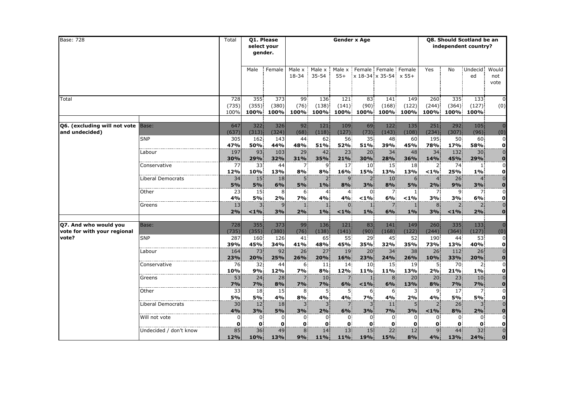| <b>Base: 728</b>                          |                        | Total                | Q1. Please<br>select your<br>gender. |                      |                    |                      |                      | <b>Gender x Age</b> |                                               | Q8. Should Scotland be an<br>independent country? |                      |                 |                           |                                           |  |
|-------------------------------------------|------------------------|----------------------|--------------------------------------|----------------------|--------------------|----------------------|----------------------|---------------------|-----------------------------------------------|---------------------------------------------------|----------------------|-----------------|---------------------------|-------------------------------------------|--|
|                                           |                        |                      | Male                                 | Female               | Male x<br>18-34    | Male x<br>$35 - 54$  | Male x<br>$55+$      |                     | Female Female Female<br>x 18-34 x 35-54 x 55+ |                                                   | Yes                  | No              | Undecid<br>ed             | Would<br>not<br>vote                      |  |
| Total                                     |                        | 728<br>(735)<br>100% | 355<br>(355)<br>100%                 | 373<br>(380)<br>100% | 99<br>(76)<br>100% | 136<br>(138)<br>100% | 121<br>(141)<br>100% | 83<br>(90)<br>100%  | 141<br>(168)<br>100%                          | 149<br>(122)<br>100%                              | 260<br>(244)<br>100% | 335<br>(364)    | 133<br>(127)<br>100% 100% | $\Omega$<br>(0)                           |  |
|                                           |                        |                      |                                      |                      |                    |                      |                      |                     |                                               |                                                   |                      |                 |                           |                                           |  |
| <b>Q6. (excluding will not vote Base:</b> |                        | 647                  | 322                                  | 326                  | 92                 | 121                  | 109                  | 69                  | 122                                           | 135                                               | 251                  | 292             | 105                       | $\Omega$                                  |  |
| and undecided)                            | <b>SNP</b>             | (637)                | (313)<br>162                         | (324)<br>143         | (68)               | (118)<br>62          | (127)                | $(73)$ :            | (143)                                         | (108)<br>60                                       | (234)<br>195         | (307)<br>50     | (96)                      | (0)<br>$\overline{0}$                     |  |
|                                           |                        | 305<br>47%           | 50%                                  | 44%                  | 44.<br>48%         | 51%                  | 56<br>52%            | 35<br>51%           | 48<br>39%                                     | 45%                                               | 78%                  | <b>17%</b>      | 60<br>58%                 | $\mathbf{0}$                              |  |
|                                           | Labour                 | 197                  | 93                                   | 103                  | 29                 | 42                   | 23                   | 20 <sup>1</sup>     | 34                                            | 48                                                | 34                   | 132             | 30                        | $\overline{0}$                            |  |
|                                           |                        | 30%                  | 29%                                  | 32%                  | 31%                | 35%                  | 21%                  | 30%                 | 28%                                           | 36%                                               | 14%                  | 45%             | 29%                       | $\overline{\mathbf{0}}$                   |  |
|                                           | Conservative           | 77                   | 33.                                  | 44                   | 7.                 | 9                    | 17                   | 10 <sup>°</sup>     | 15 <sup>1</sup>                               | 18                                                | $\mathbf{2}$         | 74              | $\mathbf{1}$              | $\overline{0}$                            |  |
|                                           |                        | 12%                  | 10%                                  | 13%                  | 8%                 | 8%                   | 16%                  | 15%                 | 13%                                           | 13%                                               | < 1%                 | 25%             | $1\%$                     | οl                                        |  |
|                                           | Liberal Democrats      | 34                   | 15                                   | 18                   | 5 <sup>1</sup>     | 2 <sup>1</sup>       | 9 <sub>1</sub>       | 2 <sup>1</sup>      | 10 <sup>1</sup>                               |                                                   | 4.                   | 26              | $\overline{4}$            | $\overline{0}$                            |  |
|                                           |                        | 5%                   | 5%                                   | 6%                   | 5%                 | $1\%$                | 8%                   | 3%                  | 8%                                            | 5%                                                | 2%                   | 9%              | 3%                        | $\bf{0}$                                  |  |
|                                           | Other                  | 23                   | 15                                   | 8                    | 6.                 | $\overline{4}$       | 4                    | $\Omega$            | $7^{\circ}$                                   |                                                   | 7.                   | 9.              | 7 <sup>1</sup>            | $\overline{0}$                            |  |
|                                           |                        | 4%                   | <b>5%</b>                            | 2%                   | 7%                 | 4%                   | 4%                   | < 1%                | 6%                                            | $< 1\%$                                           | 3%                   | 3%              | 6%                        | $\mathbf{o}$                              |  |
|                                           | Greens                 | 13                   | 3                                    | 9                    | $\mathbf{1}$       |                      | $\Omega$             | $\mathbf{1}$        |                                               |                                                   | 8                    | 2               | $\overline{2}$            | $\overline{0}$                            |  |
|                                           |                        | 2%                   | $< 1\%$                              | 3%                   | 2%                 | $1\%$                | $< 1\%$              | 1%                  | 6%                                            | 1%                                                | 3%                   | $< 1\%$         | 2%                        | $\overline{0}$                            |  |
|                                           |                        |                      |                                      |                      |                    |                      |                      |                     |                                               |                                                   |                      |                 |                           |                                           |  |
| Q7. And who would you                     | Base:                  | 728                  | 355                                  | 373                  | 99                 | 136                  | 121                  | 83                  | 141                                           | 149                                               | 260                  | 335             | 133                       | $\overline{0}$                            |  |
| vote for with your regional               |                        | (735)                | (355)                                | (380)                | (76)               | (138)                | (141)                | (90)                | (168)                                         | (122)                                             | (244)                | (364)           | (127)                     | (0)                                       |  |
| vote?                                     | <b>SNP</b>             | 287                  | 160                                  | 126                  | 41                 | 65                   | 55.                  | 29                  | 45                                            | 52                                                | 190                  | 44              | 53                        | $\overline{0}$                            |  |
|                                           |                        | 39%                  | 45%                                  | 34%                  | 41%                | 48%<br>27            | 45%                  | 35%                 | 32%<br>34                                     | 35%                                               | 73%                  | 13%             | 40%                       | $\mathbf{0}$<br>$\overline{0}$            |  |
|                                           | Labour                 | 164<br>23%           | 73.<br>20%                           | 92<br>25%            | 26<br>26%          | 20%                  | 19<br>16%            | 20:<br>23%          | 24%                                           | 38<br>26%                                         | 26<br>10%            | 112<br>33%      | 26<br>20%                 |                                           |  |
|                                           | Conservative           | 76                   | 32.                                  | 44                   | 6.                 | 11                   | 14                   | $10^{\circ}$        | 15 <sup>1</sup>                               | 19                                                | 51                   | 70              | 2                         | $\overline{\mathbf{0}}$<br>$\overline{0}$ |  |
|                                           |                        | 10%                  | 9%                                   | 12%                  | <b>7%</b>          | 8%                   | 12%                  | 11%                 | 11%                                           | 13%                                               | 2%                   | 21%             | $1\%$                     | $\mathbf{o}$                              |  |
|                                           | Greens                 | 53                   | 24                                   | 28                   |                    | 10                   |                      |                     |                                               | 20                                                | 20 <sub>1</sub>      | 23              | 10 <sub>1</sub>           | $\overline{0}$                            |  |
|                                           |                        | 7%                   | <b>7%</b>                            | 8%                   | 7%                 | 7%                   | 6%                   | $< 1\%$             | 6%                                            | 13%                                               | 8%                   | 7%              | 7%                        | $\overline{\mathbf{0}}$                   |  |
|                                           | Other                  | 33                   | 18                                   | 15                   | 8                  | 5.                   | 5.                   | 6.                  | 6                                             |                                                   | 9                    | 17 <sup>1</sup> | 7 <sup>1</sup>            | $\overline{0}$                            |  |
|                                           |                        | 5%                   | 5%                                   | 4%                   | 8%                 | 4%                   | 4%                   | 7%                  | 4%                                            | 2%                                                | 4%                   | <b>5%</b>       | <b>5%</b>                 | $\mathbf{0}$                              |  |
|                                           | Liberal Democrats      | 30                   | 12                                   | 18                   | 3.                 | 3 <sup>1</sup>       | 7.                   | 3 <sup>1</sup>      | 11                                            | 5                                                 | $2^{\circ}$          | 26              | 3 <sup>1</sup>            | $\overline{0}$                            |  |
|                                           |                        | 4%                   | 3%                                   | 5%                   | 3%                 | 2%                   | 6%                   | 3%                  | 7%                                            | 3%                                                | $1\%$                | 8%              | 2%                        | $\overline{\mathbf{0}}$                   |  |
|                                           | Will not vote          | $\mathbf 0$          | $\mathbf{0}$                         | 0                    | $\mathbf{0}$       | $\mathbf{0}$         | 0.                   | $\mathbf{0}$        | $\mathbf{0}$                                  | 0                                                 | $\mathbf{0}$         | $\mathbf{0}$    | $\mathbf{0}$              | $\overline{0}$                            |  |
|                                           |                        | $\mathbf 0$          | $\mathbf{o}$                         | 0                    | $\mathbf{0}$       | 0                    | $\mathbf{0}$         | $\mathbf{0}$        | $\mathbf{0}$                                  | 0                                                 | $\mathbf{0}$         | 0               | 0                         | $\frac{0}{0}$                             |  |
|                                           | Undecided / don't know | 85                   | 36                                   | 49                   | 8                  | 14                   | 13                   | 15                  | 22                                            | 12                                                | 9.                   | 44              | 32                        |                                           |  |
|                                           |                        | <b>12%</b>           | 10%                                  | 13%                  | 9%                 | 11%                  | 11%                  | 19%                 | 15%                                           | 8%                                                | 4%                   | 13%             | 24%                       | $\overline{0}$                            |  |